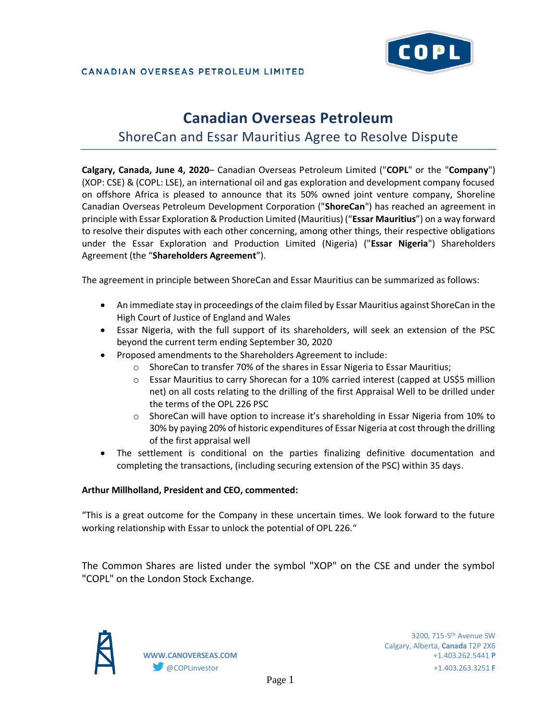

### CANADIAN OVERSEAS PETROLEUM LIMITED

# **Canadian Overseas Petroleum**  ShoreCan and Essar Mauritius Agree to Resolve Dispute

**Calgary, Canada, June 4, 2020**– Canadian Overseas Petroleum Limited ("**COPL**" or the "**Company**") (XOP: CSE) & (COPL: LSE), an international oil and gas exploration and development company focused on offshore Africa is pleased to announce that its 50% owned joint venture company, Shoreline Canadian Overseas Petroleum Development Corporation ("**ShoreCan**") has reached an agreement in principle with Essar Exploration & Production Limited (Mauritius) ("**Essar Mauritius**") on a way forward to resolve their disputes with each other concerning, among other things, their respective obligations under the Essar Exploration and Production Limited (Nigeria) ("**Essar Nigeria**") Shareholders Agreement (the "**Shareholders Agreement**").

The agreement in principle between ShoreCan and Essar Mauritius can be summarized as follows:

- An immediate stay in proceedings of the claim filed by Essar Mauritius against ShoreCan in the High Court of Justice of England and Wales
- Essar Nigeria, with the full support of its shareholders, will seek an extension of the PSC beyond the current term ending September 30, 2020
- Proposed amendments to the Shareholders Agreement to include:
	- $\circ$  ShoreCan to transfer 70% of the shares in Essar Nigeria to Essar Mauritius;
	- $\circ$  Essar Mauritius to carry Shorecan for a 10% carried interest (capped at US\$5 million net) on all costs relating to the drilling of the first Appraisal Well to be drilled under the terms of the OPL 226 PSC
	- $\circ$  ShoreCan will have option to increase it's shareholding in Essar Nigeria from 10% to 30% by paying 20% of historic expenditures of Essar Nigeria at cost through the drilling of the first appraisal well
- The settlement is conditional on the parties finalizing definitive documentation and completing the transactions, (including securing extension of the PSC) within 35 days.

#### **Arthur Millholland, President and CEO, commented:**

"This is a great outcome for the Company in these uncertain times. We look forward to the future working relationship with Essar to unlock the potential of OPL 226."

The Common Shares are listed under the symbol "XOP" on the CSE and under the symbol "COPL" on the London Stock Exchange.